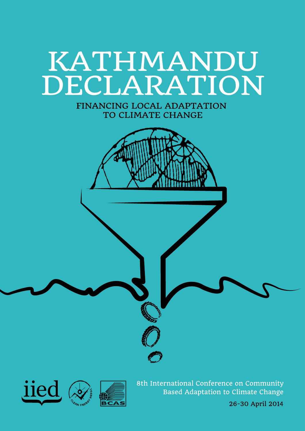# KATHMANDU DECLARATION

FINANCING LOCAL ADAPTATION TO CLIMATE CHANGE







8th International Conference on Community Based Adaptation to Climate Change

26-30 April 2014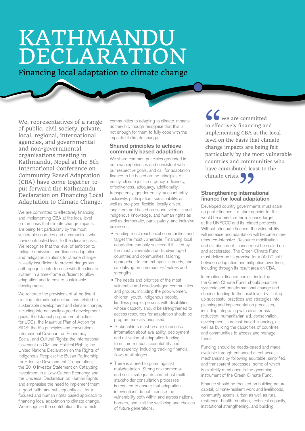## KATHMANDU DECLARATION

Financing local adaptation to climate change

We, representatives of a range of public, civil society, private, local, regional, international agencies, and governmental and non-governmental organisations meeting in Kathmandu, Nepal at the 8th International Conference on Community Based Adaptation (CBA) have come together to put forward the Kathmandu Declaration on Financing Local Adaptation to Climate Change.

We are committed to effectively financing and implementing CBA at the local level on the basis that climate change impacts are being felt particularly by the most vulnerable countries and communities who have contributed least to the climate crisis. We recognise that the level of ambition to mitigate emissions and finance adaptation and mitigation solutions to climate change is vastly insufficient to prevent dangerous anthropogenic interference with the climate system in a time-frame sufficient to allow adaptation and to ensure sustainable development.

We reiterate the provisions of all pertinent **including internationally agreed development**<br>coals: the Istanbul programme of action onned Nations Declaration on the Rights of<br>Indigenous Peoples; the Busan Partnership for Effective Development Co-operation; the 2010 Investor Statement on Catalyzing maladap existing international declarations related to sustainable development and climate change, goals; the Istanbul programme of action for LDCs, the Mauritius Plan of Action for SIDS; the Rio principles and conventions; International Covenant on Economic, Social, and Cultural Rights; the International Covenant on Civil and Political Rights; the United Nations Declaration on the Rights of Investment in a Low-Carbon Economy; and the Universal Declaration on Human Rights and emphasise the need to implement them in good faith, and subsequently call for a focused and human rights based approach to financing local adaptation to climate change. We recognise the contributions that at risk

communities to adapting to climate impacts as they hit, though recognise that this is not enough for them to fully cope with the impacts of climate change.

### **Shared principles to achieve community based adaptation**

We share common principles grounded in our own experiences and consistent with our respective goals, and call for adaptation finance to be based on the principles of equity, climate justice urgency, efficiency, effectiveness, adequacy, additionality, transparency, gender equity, accountability, inclusivity, participation, sustainability, as well as pro-poor, flexible, locally driven, long-term and based on sound scientific and indigenous knowledge, and human rights as well as democratic, participatory, and inclusive processes.

- Funding must reach local communities and target the most vulnerable. Financing local adaptation can only succeed if it is led by the most vulnerable and disadvantaged countries and communities, tailoring approaches to context-specific needs, and capitalising on communities' values and strengths.
- The needs and priorities of the most vulnerable and disadvantaged communities and groups, including the poor, women, children, youth, indigenous people, landless people, persons with disabilities, whose capacity should be strengthened to access resources for adaptation should be programmatically prioritised.
- Stakeholders must be able to access information about availability, deployment and utilisation of adaptation funding to ensure mutual accountability and transparency, including tracking financial flows at all stages.
- There is a need to guard against maladaptation. Strong environmental and social safeguards and robust multistakeholder consultation processes is required to ensure that adaptation interventions do not increase the vulnerability both within and across national borders, and limit the wellbeing and choices of future generations.

 $\blacktriangleright$  We are committed to effectively financing and implementing CBA at the local level on the basis that climate change impacts are being felt particularly by the most vulnerable countries and communities who have contributed least to the "<br>to effer<br>implem<br>level of

### **Strengthening international finance for local adaptation** climate crisis.<br> **The analytical strategy of the strategy of the strategy of the strategy of the strategy of the strategy of the strategy of the strategy of the strategy of the strategy of the strategy of the strategy of t**

Developed country governments must scale up public finance – a starting point for this would be a medium term finance target at the UNFCCC and its related protocols. Without adequate finance, the vulnerability will increase and adaptation will become more resource-intensive. Resource mobilisation and distribution of finance must be scaled up and accelerated. The Green Climate Fund must deliver on its promise for a 50-50 split between adaptation and mitigation over time, including through its result area on CBA.

International finance bodies, including the Green Climate Fund, should prioritise systemic and transformational change and channel funding to the local level, by scaling up successful practices and strategies into planning and implementation processes, including integrating with disaster risk reduction, humanitarian aid, conservation, development, forecast-based financing, as well as building the capacities of countries and communities to access and manage funds.

Funding should be needs-based and made available through enhanced direct access mechanisms by following equitable, simplified, and transparent processes, some of which is explicitly mentioned in the governing instrument of the Green Climate Fund.

Finance should be focused on building natural capital, climate-resilient work and livelihoods, community assets, urban as well as rural resilience, health, nutrition, technical capacity, institutional strengthening, and building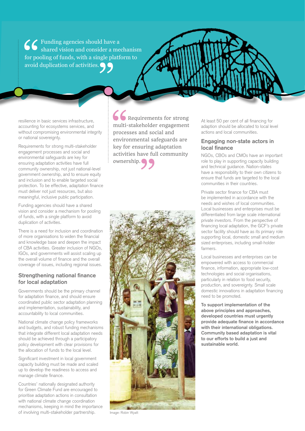$\blacktriangleright$  Funding agencies should have a Solon shared vision and consider a mechanism for pooling of funds, with a single platform to  $\begin{array}{c} \mbox{6} \\ \mbox{for } \mbox{po} \\ \mbox{avoid} \end{array}$ avoid duplication of activities.

resilience in basic services infrastructure, accounting for ecosystems services, and without compromising environmental integrity or national sovereignty.

Requirements for strong multi-stakeholder engagement processes and social and environmental safeguards are key for ensuring adaptation activities have full community ownership, not just national-level government ownership, and to ensure equity and inclusion and to enable targeted social protection. To be effective, adaptation finance must deliver not just resources, but also meaningful, inclusive public participation.

Funding agencies should have a shared vision and consider a mechanism for pooling of funds, with a single platform to avoid duplication of activities.

There is a need for inclusion and coordination of more organisations to widen the financial and knowledge base and deepen the impact of CBA activities. Greater inclusion of NGOs, IGOs, and governments will assist scaling up the overall volume of finance and the overall coverage of issues, including regional issues.

### **Strengthening national finance for local adaptation**

Governments should be the primary channel for adaptation finance, and should ensure coordinated public sector adaptation planning and implementation, sustainability, and accountability to local communities.

National climate change policy frameworks and budgets, and robust funding mechanisms that integrate different local adaptation needs should be achieved through a participatory policy development with clear provisions for the allocation of funds to the local level.

Significant investment in local government capacity building must be made and scaled up to develop the readiness to access and manage climate finance.

Countries' nationally designated authority for Green Climate Fund are encouraged to prioritise adaptation actions in consultation with national climate change coordination mechanisms, keeping in mind the importance of involving multi-stakeholder partnership.

 Requirements for strong multi-stakeholder engagement processes and social and environmental safeguards are key for ensuring adaptation activities have full community ownership. GC<br>
multi-<br>
proces<br>
envirc<br>
key fo **"** 



Image: Robin Wyatt

At least 50 per cent of all financing for adaption should be allocated to local level actions and local communities.

#### **Engaging non-state actors in local finance**

NGOs, CBOs and CMOs have an important role to play in supporting capacity building and technical guidance. Nation-states have a responsibility to their own citizens to ensure that funds are targeted to the local communities in their countries.

Private sector finance for CBA must be implemented in accordance with the needs and wishes of local communities. Local businesses and enterprises must be differentiated from large scale international private investors. From the perspective of financing local adaptation, the GCF's private sector facility should have as its primary role supporting local, domestic small and medium sized enterprises, including small-holder farmers.

Local businesses and enterprises can be empowered with access to commercial finance, information, appropriate low-cost technologies and social organisations, particularly in relation to food security, production, and sovereignty. Small scale domestic innovations in adaptation financing need to be promoted.

**To support implementation of the above principles and approaches, developed countries must urgently provide adequate finance in accordance with their international obligations. Community based adaptation is vital to our efforts to build a just and sustainable world.**